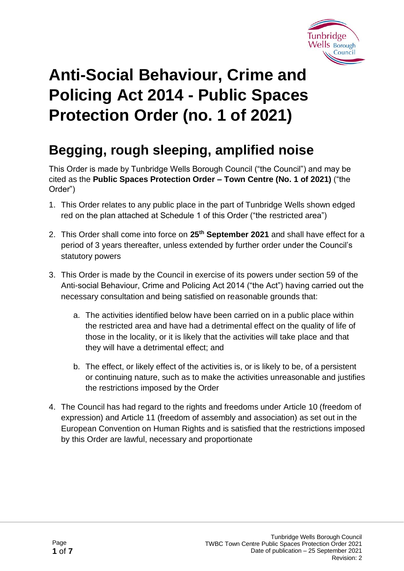

# **Anti-Social Behaviour, Crime and Policing Act 2014 - Public Spaces Protection Order (no. 1 of 2021)**

# **Begging, rough sleeping, amplified noise**

This Order is made by Tunbridge Wells Borough Council ("the Council") and may be cited as the **Public Spaces Protection Order – Town Centre (No. 1 of 2021)** ("the Order")

- 1. This Order relates to any public place in the part of Tunbridge Wells shown edged red on the plan attached at Schedule 1 of this Order ("the restricted area")
- 2. This Order shall come into force on **25th September 2021** and shall have effect for a period of 3 years thereafter, unless extended by further order under the Council's statutory powers
- 3. This Order is made by the Council in exercise of its powers under section 59 of the Anti-social Behaviour, Crime and Policing Act 2014 ("the Act") having carried out the necessary consultation and being satisfied on reasonable grounds that:
	- a. The activities identified below have been carried on in a public place within the restricted area and have had a detrimental effect on the quality of life of those in the locality, or it is likely that the activities will take place and that they will have a detrimental effect; and
	- b. The effect, or likely effect of the activities is, or is likely to be, of a persistent or continuing nature, such as to make the activities unreasonable and justifies the restrictions imposed by the Order
- 4. The Council has had regard to the rights and freedoms under Article 10 (freedom of expression) and Article 11 (freedom of assembly and association) as set out in the European Convention on Human Rights and is satisfied that the restrictions imposed by this Order are lawful, necessary and proportionate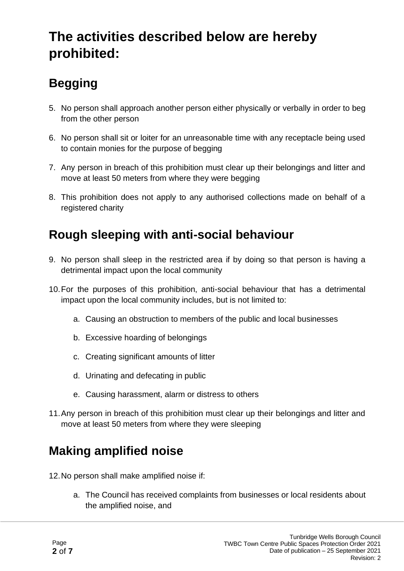## **The activities described below are hereby prohibited:**

# **Begging**

- 5. No person shall approach another person either physically or verbally in order to beg from the other person
- 6. No person shall sit or loiter for an unreasonable time with any receptacle being used to contain monies for the purpose of begging
- 7. Any person in breach of this prohibition must clear up their belongings and litter and move at least 50 meters from where they were begging
- 8. This prohibition does not apply to any authorised collections made on behalf of a registered charity

### **Rough sleeping with anti-social behaviour**

- 9. No person shall sleep in the restricted area if by doing so that person is having a detrimental impact upon the local community
- 10.For the purposes of this prohibition, anti-social behaviour that has a detrimental impact upon the local community includes, but is not limited to:
	- a. Causing an obstruction to members of the public and local businesses
	- b. Excessive hoarding of belongings
	- c. Creating significant amounts of litter
	- d. Urinating and defecating in public
	- e. Causing harassment, alarm or distress to others
- 11.Any person in breach of this prohibition must clear up their belongings and litter and move at least 50 meters from where they were sleeping

### **Making amplified noise**

12.No person shall make amplified noise if:

a. The Council has received complaints from businesses or local residents about the amplified noise, and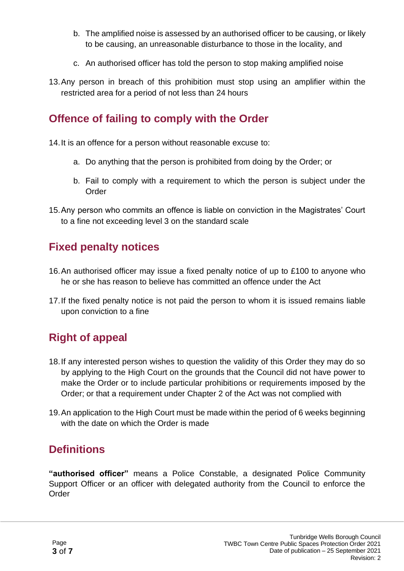- b. The amplified noise is assessed by an authorised officer to be causing, or likely to be causing, an unreasonable disturbance to those in the locality, and
- c. An authorised officer has told the person to stop making amplified noise
- 13.Any person in breach of this prohibition must stop using an amplifier within the restricted area for a period of not less than 24 hours

#### **Offence of failing to comply with the Order**

14.It is an offence for a person without reasonable excuse to:

- a. Do anything that the person is prohibited from doing by the Order; or
- b. Fail to comply with a requirement to which the person is subject under the **Order**
- 15.Any person who commits an offence is liable on conviction in the Magistrates' Court to a fine not exceeding level 3 on the standard scale

#### **Fixed penalty notices**

- 16.An authorised officer may issue a fixed penalty notice of up to £100 to anyone who he or she has reason to believe has committed an offence under the Act
- 17.If the fixed penalty notice is not paid the person to whom it is issued remains liable upon conviction to a fine

#### **Right of appeal**

- 18.If any interested person wishes to question the validity of this Order they may do so by applying to the High Court on the grounds that the Council did not have power to make the Order or to include particular prohibitions or requirements imposed by the Order; or that a requirement under Chapter 2 of the Act was not complied with
- 19.An application to the High Court must be made within the period of 6 weeks beginning with the date on which the Order is made

#### **Definitions**

**"authorised officer"** means a Police Constable, a designated Police Community Support Officer or an officer with delegated authority from the Council to enforce the Order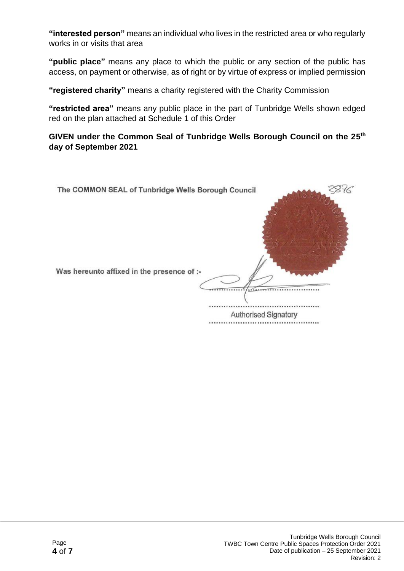**"interested person"** means an individual who lives in the restricted area or who regularly works in or visits that area

**"public place"** means any place to which the public or any section of the public has access, on payment or otherwise, as of right or by virtue of express or implied permission

**"registered charity"** means a charity registered with the Charity Commission

**"restricted area"** means any public place in the part of Tunbridge Wells shown edged red on the plan attached at Schedule 1 of this Order

**GIVEN under the Common Seal of Tunbridge Wells Borough Council on the 25 th day of September 2021**

| The COMMON SEAL of Tunbridge Wells Borough Council |                      |
|----------------------------------------------------|----------------------|
| Was hereunto affixed in the presence of :-         |                      |
|                                                    | Authorised Signatory |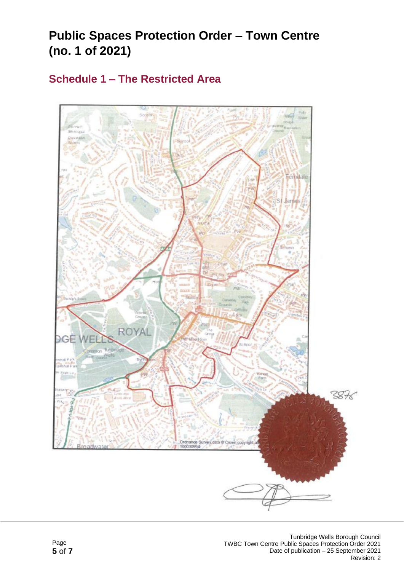### **Public Spaces Protection Order – Town Centre (no. 1 of 2021)**

#### **Schedule 1 – The Restricted Area**

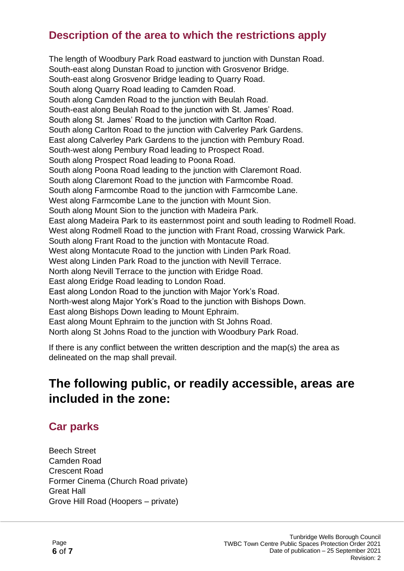#### **Description of the area to which the restrictions apply**

The length of Woodbury Park Road eastward to junction with Dunstan Road. South-east along Dunstan Road to junction with Grosvenor Bridge. South-east along Grosvenor Bridge leading to Quarry Road. South along Quarry Road leading to Camden Road. South along Camden Road to the junction with Beulah Road. South-east along Beulah Road to the junction with St. James' Road. South along St. James' Road to the junction with Carlton Road. South along Carlton Road to the junction with Calverley Park Gardens. East along Calverley Park Gardens to the junction with Pembury Road. South-west along Pembury Road leading to Prospect Road. South along Prospect Road leading to Poona Road. South along Poona Road leading to the junction with Claremont Road. South along Claremont Road to the junction with Farmcombe Road. South along Farmcombe Road to the junction with Farmcombe Lane. West along Farmcombe Lane to the junction with Mount Sion. South along Mount Sion to the junction with Madeira Park. East along Madeira Park to its easternmost point and south leading to Rodmell Road. West along Rodmell Road to the junction with Frant Road, crossing Warwick Park. South along Frant Road to the junction with Montacute Road. West along Montacute Road to the junction with Linden Park Road. West along Linden Park Road to the junction with Nevill Terrace. North along Nevill Terrace to the junction with Eridge Road. East along Eridge Road leading to London Road. East along London Road to the junction with Major York's Road. North-west along Major York's Road to the junction with Bishops Down. East along Bishops Down leading to Mount Ephraim. East along Mount Ephraim to the junction with St Johns Road. North along St Johns Road to the junction with Woodbury Park Road.

If there is any conflict between the written description and the map(s) the area as delineated on the map shall prevail.

### **The following public, or readily accessible, areas are included in the zone:**

#### **Car parks**

Beech Street Camden Road Crescent Road Former Cinema (Church Road private) Great Hall Grove Hill Road (Hoopers – private)